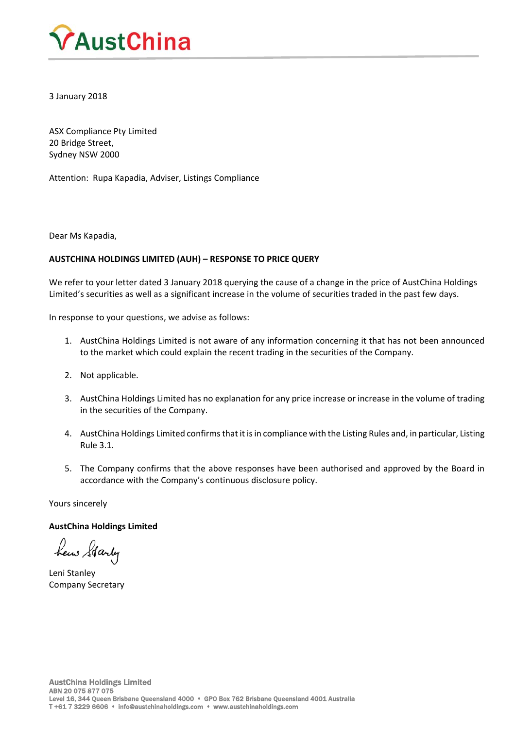

3 January 2018

ASX Compliance Pty Limited 20 Bridge Street, Sydney NSW 2000

Attention: Rupa Kapadia, Adviser, Listings Compliance

Dear Ms Kapadia,

# **AUSTCHINA HOLDINGS LIMITED (AUH) – RESPONSE TO PRICE QUERY**

We refer to your letter dated 3 January 2018 querying the cause of a change in the price of AustChina Holdings Limited's securities as well as a significant increase in the volume of securities traded in the past few days.

In response to your questions, we advise as follows:

- 1. AustChina Holdings Limited is not aware of any information concerning it that has not been announced to the market which could explain the recent trading in the securities of the Company.
- 2. Not applicable.
- 3. AustChina Holdings Limited has no explanation for any price increase or increase in the volume of trading in the securities of the Company.
- 4. AustChina Holdings Limited confirmsthat it isin compliance with the Listing Rules and, in particular, Listing Rule 3.1.
- 5. The Company confirms that the above responses have been authorised and approved by the Board in accordance with the Company's continuous disclosure policy.

Yours sincerely

**AustChina Holdings Limited**

hew Garly

Leni Stanley Company Secretary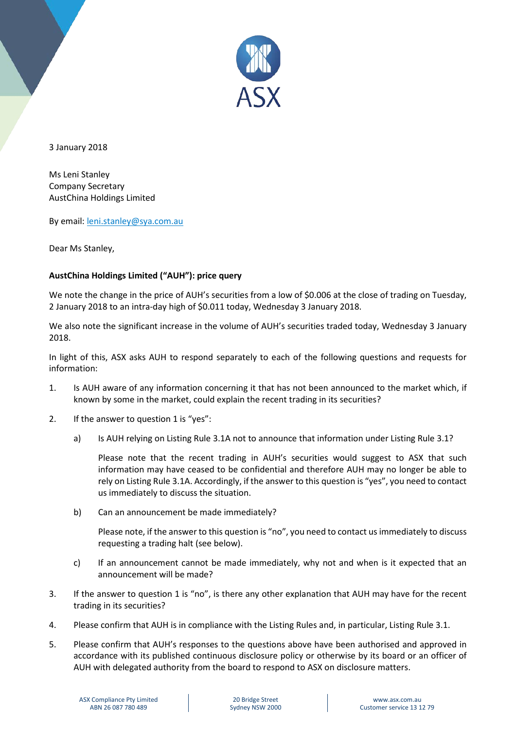

3 January 2018

Ms Leni Stanley Company Secretary AustChina Holdings Limited

By email: [leni.stanley@sya.com.au](mailto:leni.stanley@sya.com.au)

Dear Ms Stanley,

# **AustChina Holdings Limited ("AUH"): price query**

We note the change in the price of AUH's securities from a low of \$0.006 at the close of trading on Tuesday, 2 January 2018 to an intra-day high of \$0.011 today, Wednesday 3 January 2018.

We also note the significant increase in the volume of AUH's securities traded today, Wednesday 3 January 2018.

In light of this, ASX asks AUH to respond separately to each of the following questions and requests for information:

- 1. Is AUH aware of any information concerning it that has not been announced to the market which, if known by some in the market, could explain the recent trading in its securities?
- 2. If the answer to question 1 is "yes":
	- a) Is AUH relying on Listing Rule 3.1A not to announce that information under Listing Rule 3.1?

Please note that the recent trading in AUH's securities would suggest to ASX that such information may have ceased to be confidential and therefore AUH may no longer be able to rely on Listing Rule 3.1A. Accordingly, if the answer to this question is "yes", you need to contact us immediately to discuss the situation.

b) Can an announcement be made immediately?

Please note, if the answer to this question is "no", you need to contact us immediately to discuss requesting a trading halt (see below).

- c) If an announcement cannot be made immediately, why not and when is it expected that an announcement will be made?
- 3. If the answer to question 1 is "no", is there any other explanation that AUH may have for the recent trading in its securities?
- 4. Please confirm that AUH is in compliance with the Listing Rules and, in particular, Listing Rule 3.1.
- 5. Please confirm that AUH's responses to the questions above have been authorised and approved in accordance with its published continuous disclosure policy or otherwise by its board or an officer of AUH with delegated authority from the board to respond to ASX on disclosure matters.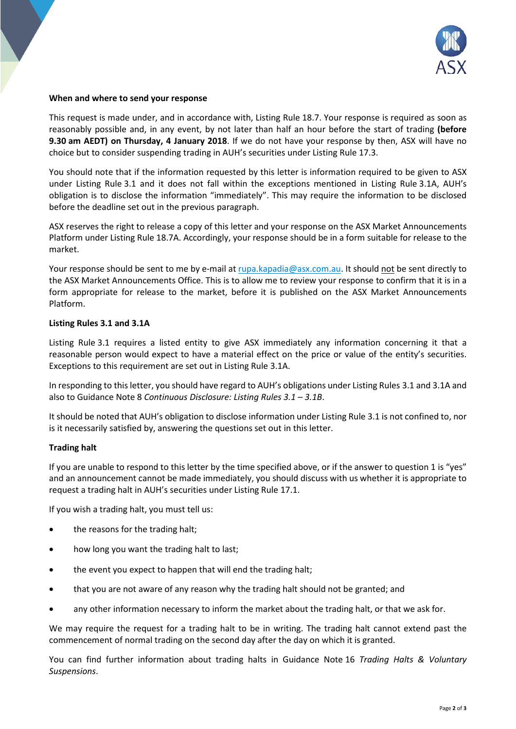

## **When and where to send your response**

This request is made under, and in accordance with, Listing Rule 18.7. Your response is required as soon as reasonably possible and, in any event, by not later than half an hour before the start of trading **(before 9.30 am AEDT) on Thursday, 4 January 2018**. If we do not have your response by then, ASX will have no choice but to consider suspending trading in AUH's securities under Listing Rule 17.3.

You should note that if the information requested by this letter is information required to be given to ASX under Listing Rule 3.1 and it does not fall within the exceptions mentioned in Listing Rule 3.1A, AUH's obligation is to disclose the information "immediately". This may require the information to be disclosed before the deadline set out in the previous paragraph.

ASX reserves the right to release a copy of this letter and your response on the ASX Market Announcements Platform under Listing Rule 18.7A. Accordingly, your response should be in a form suitable for release to the market.

Your response should be sent to me by e-mail at [rupa.kapadia@asx.com.au.](mailto:rupa.kapadia@asx.com.au) It should not be sent directly to the ASX Market Announcements Office. This is to allow me to review your response to confirm that it is in a form appropriate for release to the market, before it is published on the ASX Market Announcements Platform.

# **Listing Rules 3.1 and 3.1A**

Listing Rule 3.1 requires a listed entity to give ASX immediately any information concerning it that a reasonable person would expect to have a material effect on the price or value of the entity's securities. Exceptions to this requirement are set out in Listing Rule 3.1A.

In responding to this letter, you should have regard to AUH's obligations under Listing Rules 3.1 and 3.1A and also to Guidance Note 8 *Continuous Disclosure: Listing Rules 3.1 – 3.1B*.

It should be noted that AUH's obligation to disclose information under Listing Rule 3.1 is not confined to, nor is it necessarily satisfied by, answering the questions set out in this letter.

# **Trading halt**

If you are unable to respond to this letter by the time specified above, or if the answer to question 1 is "yes" and an announcement cannot be made immediately, you should discuss with us whether it is appropriate to request a trading halt in AUH's securities under Listing Rule 17.1.

If you wish a trading halt, you must tell us:

- the reasons for the trading halt;
- how long you want the trading halt to last;
- the event you expect to happen that will end the trading halt;
- that you are not aware of any reason why the trading halt should not be granted; and
- any other information necessary to inform the market about the trading halt, or that we ask for.

We may require the request for a trading halt to be in writing. The trading halt cannot extend past the commencement of normal trading on the second day after the day on which it is granted.

You can find further information about trading halts in Guidance Note 16 *Trading Halts & Voluntary Suspensions*.